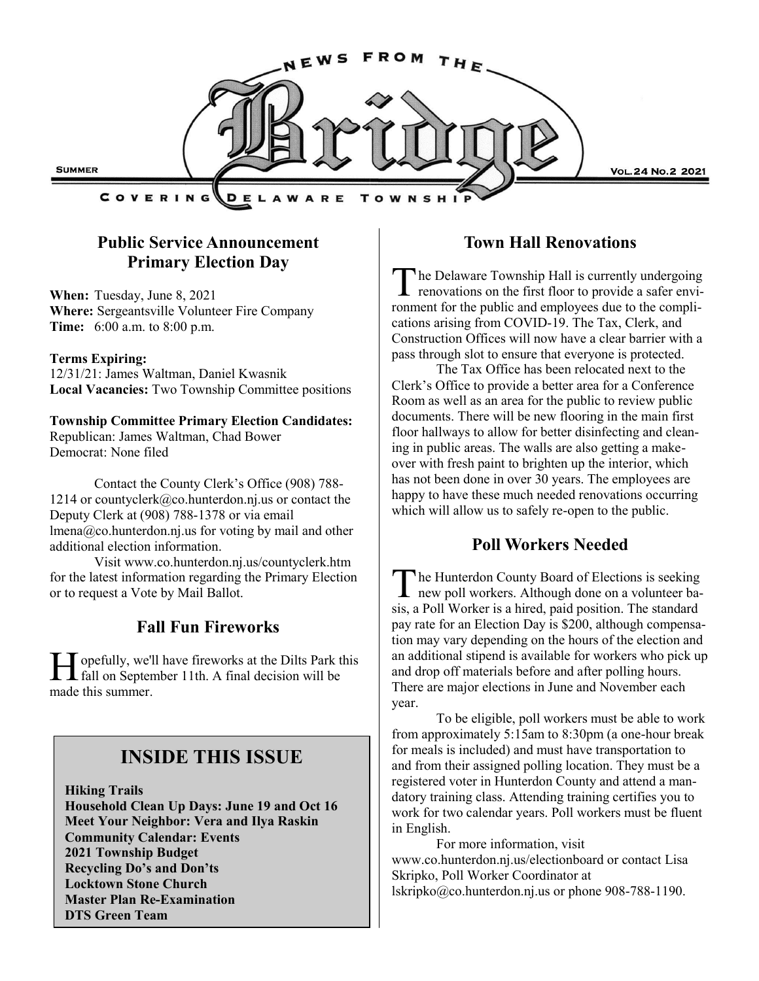

## **Public Service Announcement Primary Election Day**

**When:** Tuesday, June 8, 2021 **Where:** Sergeantsville Volunteer Fire Company **Time:** 6:00 a.m. to 8:00 p.m.

#### **Terms Expiring:**

12/31/21: James Waltman, Daniel Kwasnik **Local Vacancies:** Two Township Committee positions

**Township Committee Primary Election Candidates:** Republican: James Waltman, Chad Bower Democrat: None filed

Contact the County Clerk's Office (908) 788- 1214 or countyclerk@co.hunterdon.nj.us or contact the Deputy Clerk at (908) 788-1378 or via email lmena@co.hunterdon.nj.us for voting by mail and other additional election information.

Visit www.co.hunterdon.nj.us/countyclerk.htm for the latest information regarding the Primary Election or to request a Vote by Mail Ballot.

### **Fall Fun Fireworks**

H opefully, we'll have fireworks at the Dilts Park t<br>fall on September 11th. A final decision will be opefully, we'll have fireworks at the Dilts Park this made this summer.

## **INSIDE THIS ISSUE**

**Hiking Trails Household Clean Up Days: June 19 and Oct 16 Meet Your Neighbor: Vera and Ilya Raskin Community Calendar: Events 2021 Township Budget Recycling Do's and Don'ts Locktown Stone Church Master Plan Re-Examination DTS Green Team**

#### **Town Hall Renovations**

The Delaware Township Hall is currently undergoing<br>renovations on the first floor to provide a safer envihe Delaware Township Hall is currently undergoing ronment for the public and employees due to the complications arising from COVID-19. The Tax, Clerk, and Construction Offices will now have a clear barrier with a pass through slot to ensure that everyone is protected.

The Tax Office has been relocated next to the Clerk's Office to provide a better area for a Conference Room as well as an area for the public to review public documents. There will be new flooring in the main first floor hallways to allow for better disinfecting and cleaning in public areas. The walls are also getting a makeover with fresh paint to brighten up the interior, which has not been done in over 30 years. The employees are happy to have these much needed renovations occurring which will allow us to safely re-open to the public.

## **Poll Workers Needed**

The Hunterdon County Board of Elections is seeking<br>new poll workers. Although done on a volunteer bahe Hunterdon County Board of Elections is seeking sis, a Poll Worker is a hired, paid position. The standard pay rate for an Election Day is \$200, although compensation may vary depending on the hours of the election and an additional stipend is available for workers who pick up and drop off materials before and after polling hours. There are major elections in June and November each year.

To be eligible, poll workers must be able to work from approximately 5:15am to 8:30pm (a one-hour break for meals is included) and must have transportation to and from their assigned polling location. They must be a registered voter in Hunterdon County and attend a mandatory training class. Attending training certifies you to work for two calendar years. Poll workers must be fluent in English.

For more information, visit www.co.hunterdon.nj.us/electionboard or contact Lisa Skripko, Poll Worker Coordinator at lskripko@co.hunterdon.nj.us or phone 908-788-1190.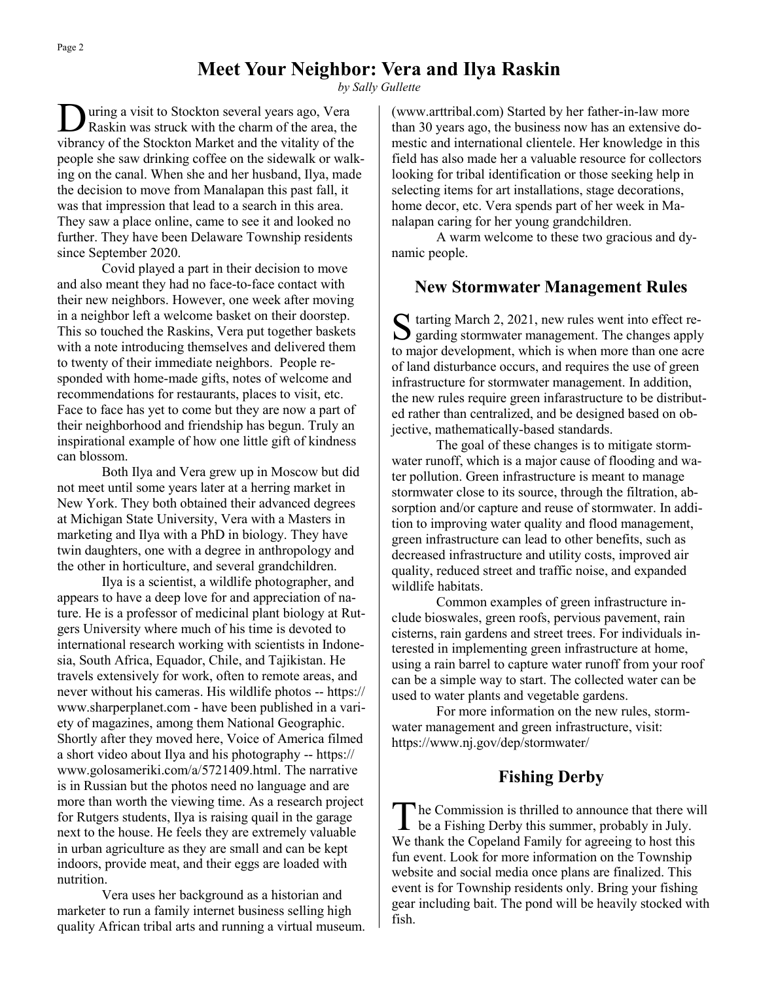## **Meet Your Neighbor: Vera and Ilya Raskin**

*by Sally Gullette*

D uring a visit to Stockton several years ago, Vera Raskin was struck with the charm of the area, the vibrancy of the Stockton Market and the vitality of the people she saw drinking coffee on the sidewalk or walking on the canal. When she and her husband, Ilya, made the decision to move from Manalapan this past fall, it was that impression that lead to a search in this area. They saw a place online, came to see it and looked no further. They have been Delaware Township residents since September 2020.

Covid played a part in their decision to move and also meant they had no face-to-face contact with their new neighbors. However, one week after moving in a neighbor left a welcome basket on their doorstep. This so touched the Raskins, Vera put together baskets with a note introducing themselves and delivered them to twenty of their immediate neighbors. People responded with home-made gifts, notes of welcome and recommendations for restaurants, places to visit, etc. Face to face has yet to come but they are now a part of their neighborhood and friendship has begun. Truly an inspirational example of how one little gift of kindness can blossom.

Both Ilya and Vera grew up in Moscow but did not meet until some years later at a herring market in New York. They both obtained their advanced degrees at Michigan State University, Vera with a Masters in marketing and Ilya with a PhD in biology. They have twin daughters, one with a degree in anthropology and the other in horticulture, and several grandchildren.

Ilya is a scientist, a wildlife photographer, and appears to have a deep love for and appreciation of nature. He is a professor of medicinal plant biology at Rutgers University where much of his time is devoted to international research working with scientists in Indonesia, South Africa, Equador, Chile, and Tajikistan. He travels extensively for work, often to remote areas, and never without his cameras. His wildlife photos -- https:// www.sharperplanet.com - have been published in a variety of magazines, among them National Geographic. Shortly after they moved here, Voice of America filmed a short video about Ilya and his photography -- https:// www.golosameriki.com/a/5721409.html. The narrative is in Russian but the photos need no language and are more than worth the viewing time. As a research project for Rutgers students, Ilya is raising quail in the garage next to the house. He feels they are extremely valuable in urban agriculture as they are small and can be kept indoors, provide meat, and their eggs are loaded with nutrition.

Vera uses her background as a historian and marketer to run a family internet business selling high quality African tribal arts and running a virtual museum. (www.arttribal.com) Started by her father-in-law more than 30 years ago, the business now has an extensive domestic and international clientele. Her knowledge in this field has also made her a valuable resource for collectors looking for tribal identification or those seeking help in selecting items for art installations, stage decorations, home decor, etc. Vera spends part of her week in Manalapan caring for her young grandchildren.

A warm welcome to these two gracious and dynamic people.

#### **New Stormwater Management Rules**

S tarting March 2, 2021, new rules went into effect regarding stormwater management. The changes apply  $\sum$  garding stormwater management. The changes apply to major development, which is when more than one acre of land disturbance occurs, and requires the use of green infrastructure for stormwater management. In addition, the new rules require green infarastructure to be distributed rather than centralized, and be designed based on objective, mathematically-based standards.

The goal of these changes is to mitigate stormwater runoff, which is a major cause of flooding and water pollution. Green infrastructure is meant to manage stormwater close to its source, through the filtration, absorption and/or capture and reuse of stormwater. In addition to improving water quality and flood management, green infrastructure can lead to other benefits, such as decreased infrastructure and utility costs, improved air quality, reduced street and traffic noise, and expanded wildlife habitats.

Common examples of green infrastructure include bioswales, green roofs, pervious pavement, rain cisterns, rain gardens and street trees. For individuals interested in implementing green infrastructure at home, using a rain barrel to capture water runoff from your roof can be a simple way to start. The collected water can be used to water plants and vegetable gardens.

For more information on the new rules, stormwater management and green infrastructure, visit: https://www.nj.gov/dep/stormwater/

#### **Fishing Derby**

T he Commission is thrilled to announce that there will be a Fishing Derby this summer, probably in July. We thank the Copeland Family for agreeing to host this fun event. Look for more information on the Township website and social media once plans are finalized. This event is for Township residents only. Bring your fishing gear including bait. The pond will be heavily stocked with fish.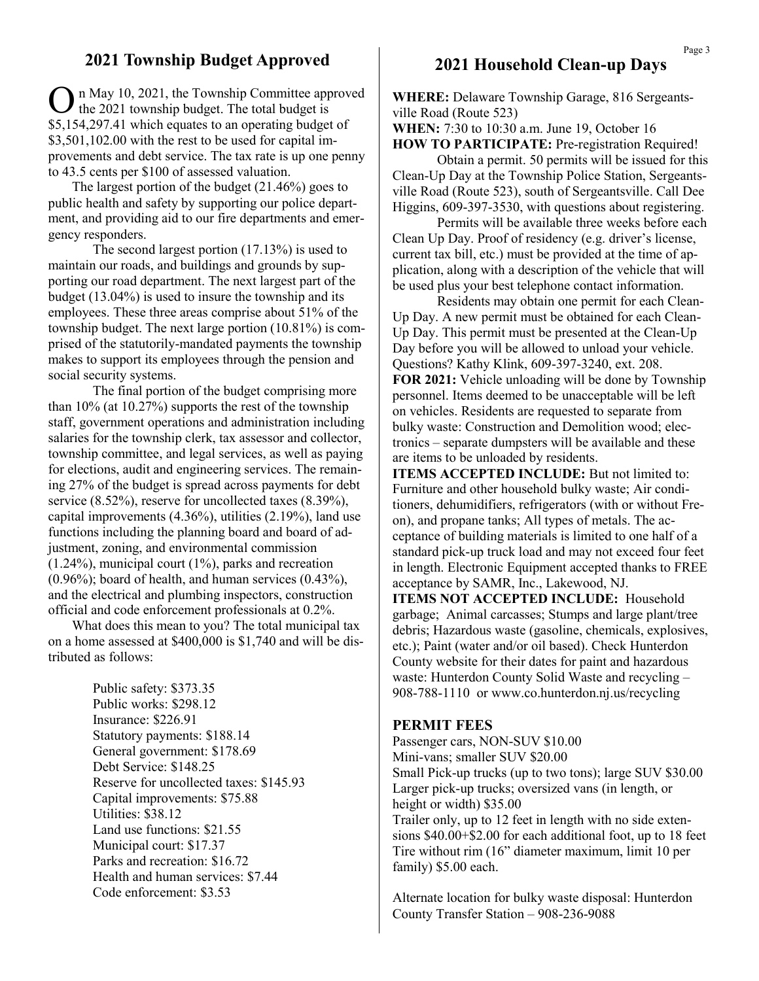#### **2021 Township Budget Approved**

On May 10, 2021, the Township Committee app<br>the 2021 township budget. The total budget is n May 10, 2021, the Township Committee approved \$5,154,297.41 which equates to an operating budget of \$3,501,102.00 with the rest to be used for capital improvements and debt service. The tax rate is up one penny to 43.5 cents per \$100 of assessed valuation.

 The largest portion of the budget (21.46%) goes to public health and safety by supporting our police department, and providing aid to our fire departments and emergency responders.

The second largest portion (17.13%) is used to maintain our roads, and buildings and grounds by supporting our road department. The next largest part of the budget (13.04%) is used to insure the township and its employees. These three areas comprise about 51% of the township budget. The next large portion (10.81%) is comprised of the statutorily-mandated payments the township makes to support its employees through the pension and social security systems.

The final portion of the budget comprising more than 10% (at 10.27%) supports the rest of the township staff, government operations and administration including salaries for the township clerk, tax assessor and collector, township committee, and legal services, as well as paying for elections, audit and engineering services. The remaining 27% of the budget is spread across payments for debt service (8.52%), reserve for uncollected taxes (8.39%), capital improvements (4.36%), utilities (2.19%), land use functions including the planning board and board of adjustment, zoning, and environmental commission (1.24%), municipal court (1%), parks and recreation (0.96%); board of health, and human services (0.43%), and the electrical and plumbing inspectors, construction official and code enforcement professionals at 0.2%.

 What does this mean to you? The total municipal tax on a home assessed at \$400,000 is \$1,740 and will be distributed as follows:

> Public safety: \$373.35 Public works: \$298.12 Insurance: \$226.91 Statutory payments: \$188.14 General government: \$178.69 Debt Service: \$148.25 Reserve for uncollected taxes: \$145.93 Capital improvements: \$75.88 Utilities: \$38.12 Land use functions: \$21.55 Municipal court: \$17.37 Parks and recreation: \$16.72 Health and human services: \$7.44 Code enforcement: \$3.53

#### **2021 Household Clean-up Days**

**WHERE:** Delaware Township Garage, 816 Sergeantsville Road (Route 523)

#### **WHEN:** 7:30 to 10:30 a.m. June 19, October 16 **HOW TO PARTICIPATE:** Pre-registration Required!

Obtain a permit. 50 permits will be issued for this Clean-Up Day at the Township Police Station, Sergeantsville Road (Route 523), south of Sergeantsville. Call Dee Higgins, 609-397-3530, with questions about registering.

Permits will be available three weeks before each Clean Up Day. Proof of residency (e.g. driver's license, current tax bill, etc.) must be provided at the time of application, along with a description of the vehicle that will be used plus your best telephone contact information.

Residents may obtain one permit for each Clean-Up Day. A new permit must be obtained for each Clean-Up Day. This permit must be presented at the Clean-Up Day before you will be allowed to unload your vehicle. Questions? Kathy Klink, 609-397-3240, ext. 208. **FOR 2021:** Vehicle unloading will be done by Township personnel. Items deemed to be unacceptable will be left on vehicles. Residents are requested to separate from bulky waste: Construction and Demolition wood; electronics – separate dumpsters will be available and these are items to be unloaded by residents.

**ITEMS ACCEPTED INCLUDE:** But not limited to: Furniture and other household bulky waste; Air conditioners, dehumidifiers, refrigerators (with or without Freon), and propane tanks; All types of metals. The acceptance of building materials is limited to one half of a standard pick-up truck load and may not exceed four feet in length. Electronic Equipment accepted thanks to FREE acceptance by SAMR, Inc., Lakewood, NJ.

**ITEMS NOT ACCEPTED INCLUDE:** Household garbage; Animal carcasses; Stumps and large plant/tree debris; Hazardous waste (gasoline, chemicals, explosives, etc.); Paint (water and/or oil based). Check Hunterdon County website for their dates for paint and hazardous waste: Hunterdon County Solid Waste and recycling – 908-788-1110 or www.co.hunterdon.nj.us/recycling

#### **PERMIT FEES**

Passenger cars, NON-SUV \$10.00 Mini-vans; smaller SUV \$20.00 Small Pick-up trucks (up to two tons); large SUV \$30.00 Larger pick-up trucks; oversized vans (in length, or height or width) \$35.00 Trailer only, up to 12 feet in length with no side extensions \$40.00+\$2.00 for each additional foot, up to 18 feet Tire without rim (16" diameter maximum, limit 10 per family) \$5.00 each.

Alternate location for bulky waste disposal: Hunterdon County Transfer Station – 908-236-9088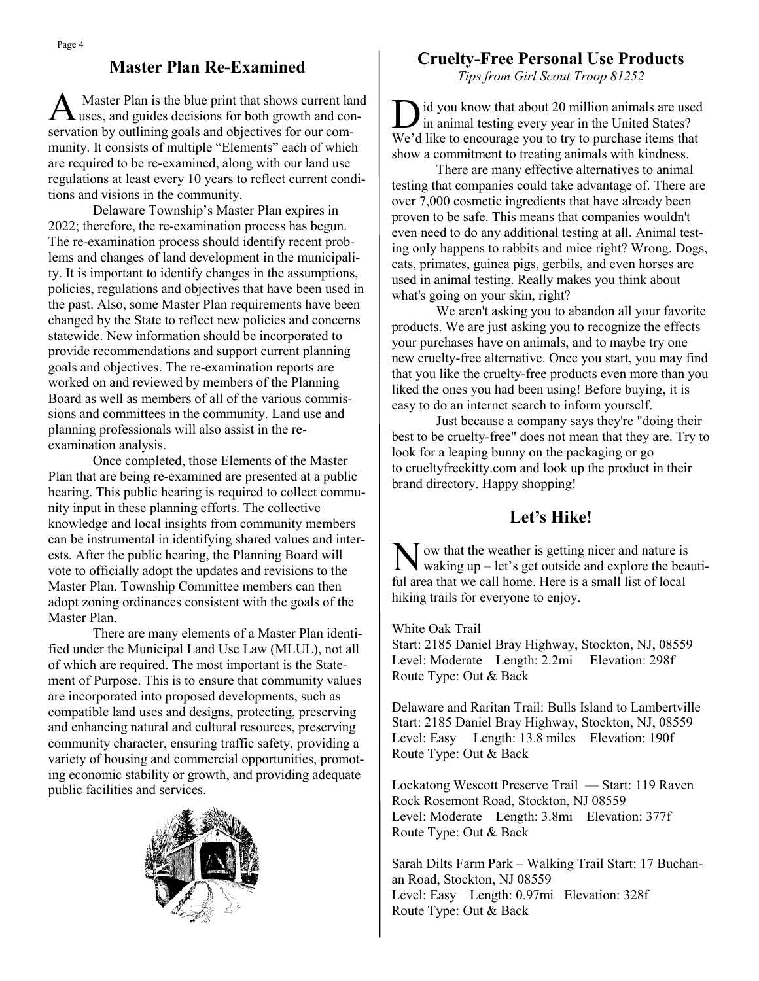## **Master Plan Re-Examined**

A Master Plan is the blue print that shows current land uses, and guides decisions for both growth and conservation by outlining goals and objectives for our community. It consists of multiple "Elements" each of which are required to be re-examined, along with our land use regulations at least every 10 years to reflect current conditions and visions in the community.

Delaware Township's Master Plan expires in 2022; therefore, the re-examination process has begun. The re-examination process should identify recent problems and changes of land development in the municipality. It is important to identify changes in the assumptions, policies, regulations and objectives that have been used in the past. Also, some Master Plan requirements have been changed by the State to reflect new policies and concerns statewide. New information should be incorporated to provide recommendations and support current planning goals and objectives. The re-examination reports are worked on and reviewed by members of the Planning Board as well as members of all of the various commissions and committees in the community. Land use and planning professionals will also assist in the reexamination analysis.

Once completed, those Elements of the Master Plan that are being re-examined are presented at a public hearing. This public hearing is required to collect community input in these planning efforts. The collective knowledge and local insights from community members can be instrumental in identifying shared values and interests. After the public hearing, the Planning Board will vote to officially adopt the updates and revisions to the Master Plan. Township Committee members can then adopt zoning ordinances consistent with the goals of the Master Plan.

There are many elements of a Master Plan identified under the Municipal Land Use Law (MLUL), not all of which are required. The most important is the Statement of Purpose. This is to ensure that community values are incorporated into proposed developments, such as compatible land uses and designs, protecting, preserving and enhancing natural and cultural resources, preserving community character, ensuring traffic safety, providing a variety of housing and commercial opportunities, promoting economic stability or growth, and providing adequate public facilities and services.



### **Cruelty-Free Personal Use Products**

*Tips from Girl Scout Troop 81252*

D id you know that about 20 million animals are use<br>in animal testing every year in the United States? id you know that about 20 million animals are used We'd like to encourage you to try to purchase items that show a commitment to treating animals with kindness.

There are many effective alternatives to animal testing that companies could take advantage of. There are over 7,000 cosmetic ingredients that have already been proven to be safe. This means that companies wouldn't even need to do any additional testing at all. Animal testing only happens to rabbits and mice right? Wrong. Dogs, cats, primates, guinea pigs, gerbils, and even horses are used in animal testing. Really makes you think about what's going on your skin, right?

We aren't asking you to abandon all your favorite products. We are just asking you to recognize the effects your purchases have on animals, and to maybe try one new cruelty-free alternative. Once you start, you may find that you like the cruelty-free products even more than you liked the ones you had been using! Before buying, it is easy to do an internet search to inform yourself.

Just because a company says they're "doing their best to be cruelty-free" does not mean that they are. Try to look for a leaping bunny on the packaging or go to crueltyfreekitty.com and look up the product in their brand directory. Happy shopping!

## **Let's Hike!**

 $\sum$  ow that the weather is getting nicer and nature is waking up – let's get outside and explore the beauti- $\Gamma$  ow that the weather is getting nicer and nature is ful area that we call home. Here is a small list of local hiking trails for everyone to enjoy.

White Oak Trail

Start: 2185 Daniel Bray Highway, Stockton, NJ, 08559 Level: Moderate Length: 2.2mi Elevation: 298f Route Type: Out & Back

Delaware and Raritan Trail: Bulls Island to Lambertville Start: 2185 Daniel Bray Highway, Stockton, NJ, 08559 Level: Easy Length: 13.8 miles Elevation: 190f Route Type: Out & Back

Lockatong Wescott Preserve Trail — Start: 119 Raven Rock Rosemont Road, Stockton, NJ 08559 Level: Moderate Length: 3.8mi Elevation: 377f Route Type: Out & Back

Sarah Dilts Farm Park – Walking Trail Start: 17 Buchanan Road, Stockton, NJ 08559 Level: Easy Length: 0.97mi Elevation: 328f Route Type: Out & Back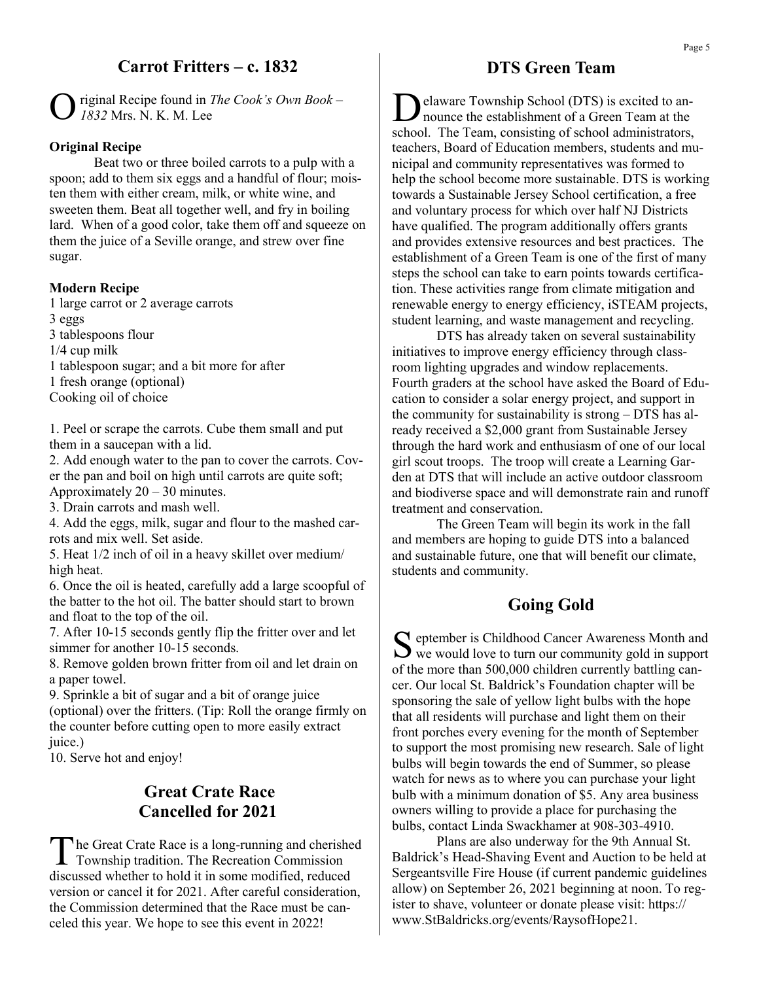## **Carrot Fritters – c. 1832**

O riginal Recipe found in *The Cook's Own Book – 1832* Mrs. N. K. M. Lee

#### **Original Recipe**

Beat two or three boiled carrots to a pulp with a spoon; add to them six eggs and a handful of flour; moisten them with either cream, milk, or white wine, and sweeten them. Beat all together well, and fry in boiling lard. When of a good color, take them off and squeeze on them the juice of a Seville orange, and strew over fine sugar.

#### **Modern Recipe**

1 large carrot or 2 average carrots 3 eggs 3 tablespoons flour 1/4 cup milk 1 tablespoon sugar; and a bit more for after 1 fresh orange (optional) Cooking oil of choice

1. Peel or scrape the carrots. Cube them small and put them in a saucepan with a lid.

2. Add enough water to the pan to cover the carrots. Cover the pan and boil on high until carrots are quite soft; Approximately  $20 - 30$  minutes.

3. Drain carrots and mash well.

4. Add the eggs, milk, sugar and flour to the mashed carrots and mix well. Set aside.

5. Heat 1/2 inch of oil in a heavy skillet over medium/ high heat.

6. Once the oil is heated, carefully add a large scoopful of the batter to the hot oil. The batter should start to brown and float to the top of the oil.

7. After 10-15 seconds gently flip the fritter over and let simmer for another 10-15 seconds.

8. Remove golden brown fritter from oil and let drain on a paper towel.

9. Sprinkle a bit of sugar and a bit of orange juice (optional) over the fritters. (Tip: Roll the orange firmly on the counter before cutting open to more easily extract juice.)

10. Serve hot and enjoy!

### **Great Crate Race Cancelled for 2021**

T he Great Crate Race is a long-running and cherished Township tradition. The Recreation Commission discussed whether to hold it in some modified, reduced version or cancel it for 2021. After careful consideration, the Commission determined that the Race must be canceled this year. We hope to see this event in 2022!

#### **DTS Green Team**

D elaware Township School (DTS) is excited to announce the establishment of a Green Team at the school. The Team, consisting of school administrators, teachers, Board of Education members, students and municipal and community representatives was formed to help the school become more sustainable. DTS is working towards a Sustainable Jersey School certification, a free and voluntary process for which over half NJ Districts have qualified. The program additionally offers grants and provides extensive resources and best practices. The establishment of a Green Team is one of the first of many steps the school can take to earn points towards certification. These activities range from climate mitigation and renewable energy to energy efficiency, iSTEAM projects, student learning, and waste management and recycling.

DTS has already taken on several sustainability initiatives to improve energy efficiency through classroom lighting upgrades and window replacements. Fourth graders at the school have asked the Board of Education to consider a solar energy project, and support in the community for sustainability is strong – DTS has already received a \$2,000 grant from Sustainable Jersey through the hard work and enthusiasm of one of our local girl scout troops. The troop will create a Learning Garden at DTS that will include an active outdoor classroom and biodiverse space and will demonstrate rain and runoff treatment and conservation.

The Green Team will begin its work in the fall and members are hoping to guide DTS into a balanced and sustainable future, one that will benefit our climate, students and community.

### **Going Gold**

S eptember is Childhood Cancer Awareness Month and<br>we would love to turn our community gold in support eptember is Childhood Cancer Awareness Month and of the more than 500,000 children currently battling cancer. Our local St. Baldrick's Foundation chapter will be sponsoring the sale of yellow light bulbs with the hope that all residents will purchase and light them on their front porches every evening for the month of September to support the most promising new research. Sale of light bulbs will begin towards the end of Summer, so please watch for news as to where you can purchase your light bulb with a minimum donation of \$5. Any area business owners willing to provide a place for purchasing the bulbs, contact Linda Swackhamer at 908-303-4910.

Plans are also underway for the 9th Annual St. Baldrick's Head-Shaving Event and Auction to be held at Sergeantsville Fire House (if current pandemic guidelines allow) on September 26, 2021 beginning at noon. To register to shave, volunteer or donate please visit: https:// www.StBaldricks.org/events/RaysofHope21.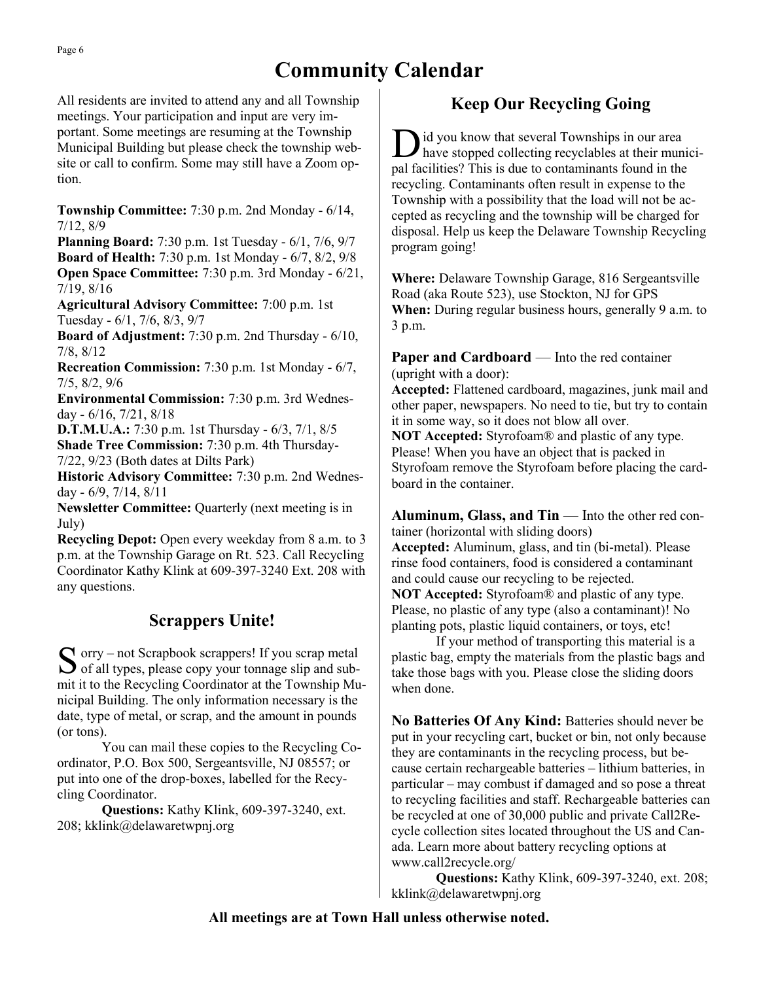# **Community Calendar**

All residents are invited to attend any and all Township meetings. Your participation and input are very important. Some meetings are resuming at the Township Municipal Building but please check the township website or call to confirm. Some may still have a Zoom option.

**Township Committee:** 7:30 p.m. 2nd Monday - 6/14, 7/12, 8/9

**Planning Board:** 7:30 p.m. 1st Tuesday - 6/1, 7/6, 9/7 **Board of Health:** 7:30 p.m. 1st Monday - 6/7, 8/2, 9/8 **Open Space Committee:** 7:30 p.m. 3rd Monday - 6/21, 7/19, 8/16

**Agricultural Advisory Committee:** 7:00 p.m. 1st Tuesday - 6/1, 7/6, 8/3, 9/7

**Board of Adjustment:** 7:30 p.m. 2nd Thursday - 6/10, 7/8, 8/12

**Recreation Commission:** 7:30 p.m. 1st Monday - 6/7, 7/5, 8/2, 9/6

**Environmental Commission:** 7:30 p.m. 3rd Wednesday - 6/16, 7/21, 8/18

**D.T.M.U.A.:** 7:30 p.m. 1st Thursday - 6/3, 7/1, 8/5 **Shade Tree Commission:** 7:30 p.m. 4th Thursday-7/22, 9/23 (Both dates at Dilts Park)

**Historic Advisory Committee:** 7:30 p.m. 2nd Wednesday - 6/9, 7/14, 8/11

**Newsletter Committee:** Quarterly (next meeting is in July)

**Recycling Depot:** Open every weekday from 8 a.m. to 3 p.m. at the Township Garage on Rt. 523. Call Recycling Coordinator Kathy Klink at 609-397-3240 Ext. 208 with any questions.

## **Scrappers Unite!**

S orry – not Scrapbook scrappers! If you scrap metal<br>
of all types, please copy your tonnage slip and sub- $\bigcap$  orry – not Scrapbook scrappers! If you scrap metal mit it to the Recycling Coordinator at the Township Municipal Building. The only information necessary is the date, type of metal, or scrap, and the amount in pounds (or tons).

You can mail these copies to the Recycling Coordinator, P.O. Box 500, Sergeantsville, NJ 08557; or put into one of the drop-boxes, labelled for the Recycling Coordinator.

**Questions:** Kathy Klink, 609-397-3240, ext. 208; kklink@delawaretwpnj.org

## **Keep Our Recycling Going**

D id you know that several Townships in our area have stopped collecting recyclables at their municipal facilities? This is due to contaminants found in the recycling. Contaminants often result in expense to the Township with a possibility that the load will not be accepted as recycling and the township will be charged for disposal. Help us keep the Delaware Township Recycling program going!

**Where:** Delaware Township Garage, 816 Sergeantsville Road (aka Route 523), use Stockton, NJ for GPS **When:** During regular business hours, generally 9 a.m. to 3 p.m.

**Paper and Cardboard** — Into the red container (upright with a door):

**Accepted:** Flattened cardboard, magazines, junk mail and other paper, newspapers. No need to tie, but try to contain it in some way, so it does not blow all over.

**NOT Accepted:** Styrofoam® and plastic of any type. Please! When you have an object that is packed in Styrofoam remove the Styrofoam before placing the cardboard in the container.

**Aluminum, Glass, and Tin** — Into the other red container (horizontal with sliding doors) **Accepted:** Aluminum, glass, and tin (bi-metal). Please rinse food containers, food is considered a contaminant and could cause our recycling to be rejected. **NOT Accepted:** Styrofoam® and plastic of any type. Please, no plastic of any type (also a contaminant)! No planting pots, plastic liquid containers, or toys, etc!

If your method of transporting this material is a plastic bag, empty the materials from the plastic bags and take those bags with you. Please close the sliding doors when done.

**No Batteries Of Any Kind:** Batteries should never be put in your recycling cart, bucket or bin, not only because they are contaminants in the recycling process, but because certain rechargeable batteries – lithium batteries, in particular – may combust if damaged and so pose a threat to recycling facilities and staff. Rechargeable batteries can be recycled at one of 30,000 public and private Call2Recycle collection sites located throughout the US and Canada. Learn more about battery recycling options at www.call2recycle.org/

**Questions:** Kathy Klink, 609-397-3240, ext. 208; kklink@delawaretwpnj.org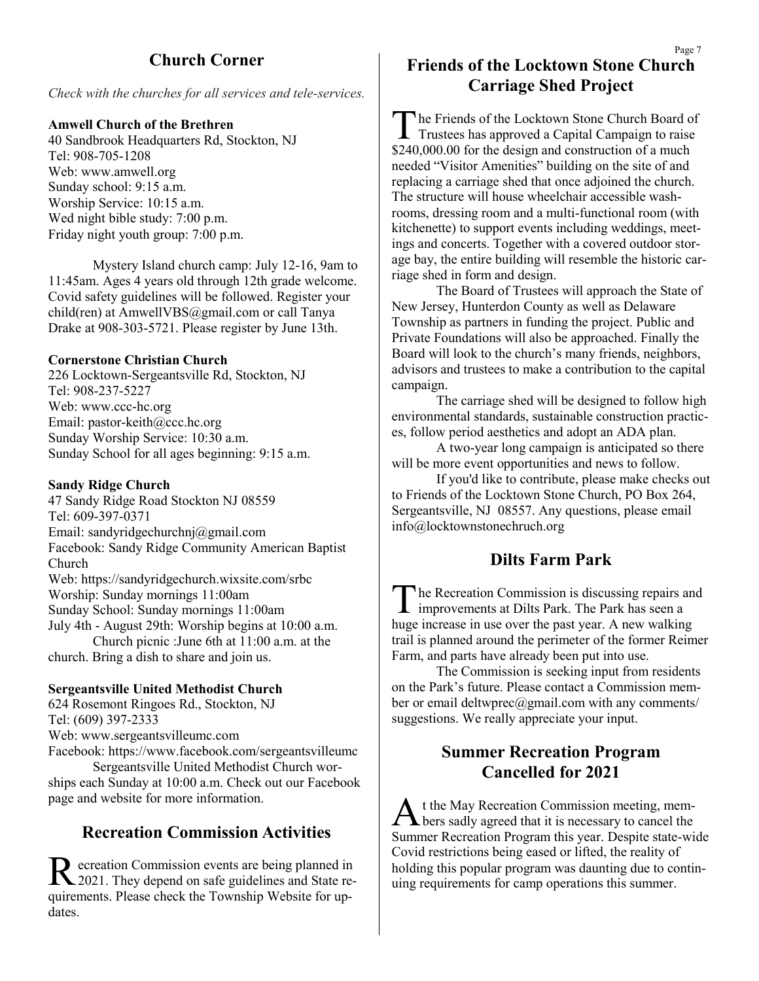## **Church Corner**

*Check with the churches for all services and tele-services.*

#### **Amwell Church of the Brethren**

40 Sandbrook Headquarters Rd, Stockton, NJ Tel: 908-705-1208 Web: www.amwell.org Sunday school: 9:15 a.m. Worship Service: 10:15 a.m. Wed night bible study: 7:00 p.m. Friday night youth group: 7:00 p.m.

Mystery Island church camp: July 12-16, 9am to 11:45am. Ages 4 years old through 12th grade welcome. Covid safety guidelines will be followed. Register your child(ren) at AmwellVBS@gmail.com or call Tanya Drake at 908-303-5721. Please register by June 13th.

#### **Cornerstone Christian Church**

226 Locktown-Sergeantsville Rd, Stockton, NJ Tel: 908-237-5227 Web: www.ccc-hc.org Email: pastor-keith@ccc.hc.org Sunday Worship Service: 10:30 a.m. Sunday School for all ages beginning: 9:15 a.m.

#### **Sandy Ridge Church**

47 Sandy Ridge Road Stockton NJ 08559 Tel: 609-397-0371 Email: sandyridgechurchnj@gmail.com Facebook: Sandy Ridge Community American Baptist Church Web: https://sandyridgechurch.wixsite.com/srbc Worship: Sunday mornings 11:00am Sunday School: Sunday mornings 11:00am July 4th - August 29th: Worship begins at 10:00 a.m. Church picnic :June 6th at 11:00 a.m. at the church. Bring a dish to share and join us.

#### **Sergeantsville United Methodist Church**

624 Rosemont Ringoes Rd., Stockton, NJ Tel: (609) 397-2333 Web: www.sergeantsvilleumc.com Facebook: https://www.facebook.com/sergeantsvilleumc Sergeantsville United Methodist Church wor-

ships each Sunday at 10:00 a.m. Check out our Facebook page and website for more information.

#### **Recreation Commission Activities**

Recreation Commission events are being planned in<br>
2021. They depend on safe guidelines and State reecreation Commission events are being planned in quirements. Please check the Township Website for updates.

## **Friends of the Locktown Stone Church Carriage Shed Project**

The Friends of the Locktown Stone Church Board of<br>Trustees has approved a Capital Campaign to raise he Friends of the Locktown Stone Church Board of \$240,000.00 for the design and construction of a much needed "Visitor Amenities" building on the site of and replacing a carriage shed that once adjoined the church. The structure will house wheelchair accessible washrooms, dressing room and a multi-functional room (with kitchenette) to support events including weddings, meetings and concerts. Together with a covered outdoor storage bay, the entire building will resemble the historic carriage shed in form and design.

The Board of Trustees will approach the State of New Jersey, Hunterdon County as well as Delaware Township as partners in funding the project. Public and Private Foundations will also be approached. Finally the Board will look to the church's many friends, neighbors, advisors and trustees to make a contribution to the capital campaign.

The carriage shed will be designed to follow high environmental standards, sustainable construction practices, follow period aesthetics and adopt an ADA plan.

A two-year long campaign is anticipated so there will be more event opportunities and news to follow.

If you'd like to contribute, please make checks out to Friends of the Locktown Stone Church, PO Box 264, Sergeantsville, NJ 08557. Any questions, please email info@locktownstonechruch.org

#### **Dilts Farm Park**

T he Recreation Commission is discussing repairs and improvements at Dilts Park. The Park has seen a huge increase in use over the past year. A new walking trail is planned around the perimeter of the former Reimer Farm, and parts have already been put into use.

The Commission is seeking input from residents on the Park's future. Please contact a Commission member or email deltwprec@gmail.com with any comments/ suggestions. We really appreciate your input.

## **Summer Recreation Program Cancelled for 2021**

A t the May Recreation Commission meeting, mem-<br>bers sadly agreed that it is necessary to cancel the t the May Recreation Commission meeting, mem-Summer Recreation Program this year. Despite state-wide Covid restrictions being eased or lifted, the reality of holding this popular program was daunting due to continuing requirements for camp operations this summer.